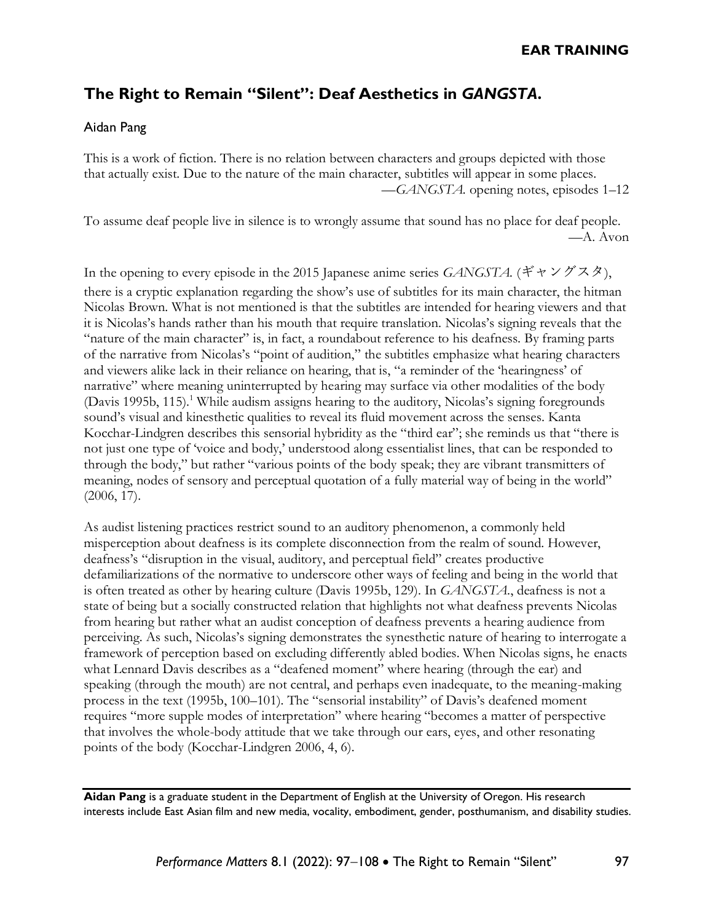# **The Right to Remain "Silent": Deaf Aesthetics in** *GANGSTA***.**

#### Aidan Pang

This is a work of fiction. There is no relation between characters and groups depicted with those that actually exist. Due to the nature of the main character, subtitles will appear in some places. —*GANGSTA.* opening notes, episodes 1–12

To assume deaf people live in silence is to wrongly assume that sound has no place for deaf people. —A. Avon

In the opening to every episode in the 2015 Japanese anime series *GANGSTA.* (ギャングスタ), there is a cryptic explanation regarding the show's use of subtitles for its main character, the hitman Nicolas Brown. What is not mentioned is that the subtitles are intended for hearing viewers and that it is Nicolas's hands rather than his mouth that require translation. Nicolas's signing reveals that the "nature of the main character" is, in fact, a roundabout reference to his deafness. By framing parts of the narrative from Nicolas's "point of audition," the subtitles emphasize what hearing characters and viewers alike lack in their reliance on hearing, that is, "a reminder of the 'hearingness' of narrative" where meaning uninterrupted by hearing may surface via other modalities of the body (Davis 1995b, 115).<sup>1</sup> While audism assigns hearing to the auditory, Nicolas's signing foregrounds sound's visual and kinesthetic qualities to reveal its fluid movement across the senses. Kanta Kocchar-Lindgren describes this sensorial hybridity as the "third ear"; she reminds us that "there is not just one type of 'voice and body,' understood along essentialist lines, that can be responded to through the body," but rather "various points of the body speak; they are vibrant transmitters of meaning, nodes of sensory and perceptual quotation of a fully material way of being in the world" (2006, 17).

As audist listening practices restrict sound to an auditory phenomenon, a commonly held misperception about deafness is its complete disconnection from the realm of sound. However, deafness's "disruption in the visual, auditory, and perceptual field" creates productive defamiliarizations of the normative to underscore other ways of feeling and being in the world that is often treated as other by hearing culture (Davis 1995b, 129). In *GANGSTA*., deafness is not a state of being but a socially constructed relation that highlights not what deafness prevents Nicolas from hearing but rather what an audist conception of deafness prevents a hearing audience from perceiving. As such, Nicolas's signing demonstrates the synesthetic nature of hearing to interrogate a framework of perception based on excluding differently abled bodies. When Nicolas signs, he enacts what Lennard Davis describes as a "deafened moment" where hearing (through the ear) and speaking (through the mouth) are not central, and perhaps even inadequate, to the meaning-making process in the text (1995b, 100–101). The "sensorial instability" of Davis's deafened moment requires "more supple modes of interpretation" where hearing "becomes a matter of perspective that involves the whole-body attitude that we take through our ears, eyes, and other resonating points of the body (Kocchar-Lindgren 2006, 4, 6).

**Aidan Pang** is a graduate student in the Department of English at the University of Oregon. His research interests include East Asian film and new media, vocality, embodiment, gender, posthumanism, and disability studies.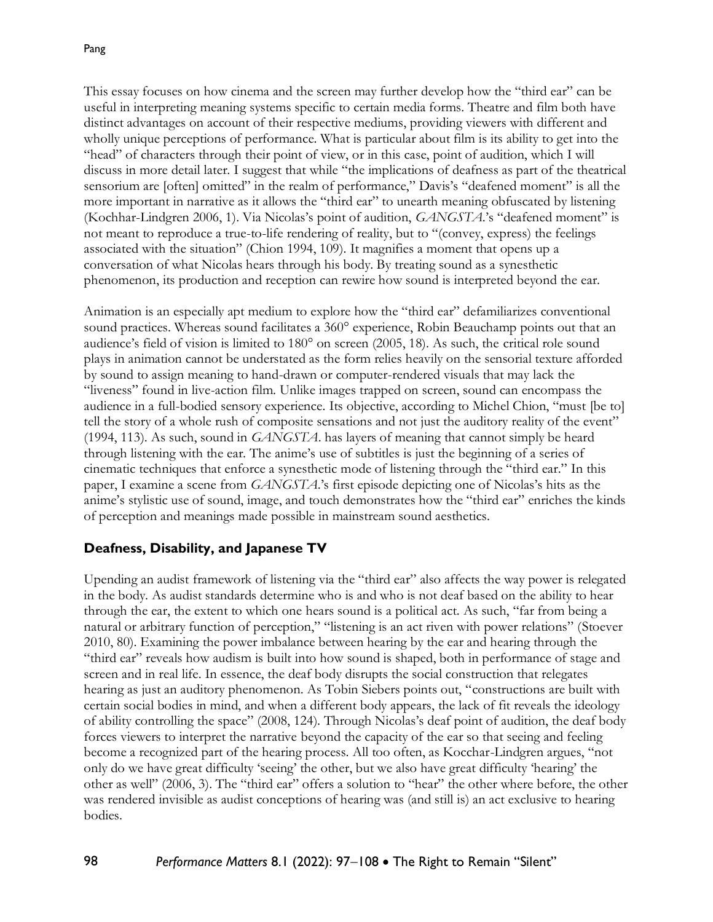This essay focuses on how cinema and the screen may further develop how the "third ear" can be useful in interpreting meaning systems specific to certain media forms. Theatre and film both have distinct advantages on account of their respective mediums, providing viewers with different and wholly unique perceptions of performance. What is particular about film is its ability to get into the "head" of characters through their point of view, or in this case, point of audition, which I will discuss in more detail later. I suggest that while "the implications of deafness as part of the theatrical sensorium are [often] omitted" in the realm of performance," Davis's "deafened moment" is all the more important in narrative as it allows the "third ear" to unearth meaning obfuscated by listening (Kochhar-Lindgren 2006, 1). Via Nicolas's point of audition, *GANGSTA*.'s "deafened moment" is not meant to reproduce a true-to-life rendering of reality, but to "(convey, express) the feelings associated with the situation" (Chion 1994, 109). It magnifies a moment that opens up a conversation of what Nicolas hears through his body. By treating sound as a synesthetic phenomenon, its production and reception can rewire how sound is interpreted beyond the ear.

Animation is an especially apt medium to explore how the "third ear" defamiliarizes conventional sound practices. Whereas sound facilitates a 360° experience, Robin Beauchamp points out that an audience's field of vision is limited to 180° on screen (2005, 18). As such, the critical role sound plays in animation cannot be understated as the form relies heavily on the sensorial texture afforded by sound to assign meaning to hand-drawn or computer-rendered visuals that may lack the "liveness" found in live-action film. Unlike images trapped on screen, sound can encompass the audience in a full-bodied sensory experience. Its objective, according to Michel Chion, "must [be to] tell the story of a whole rush of composite sensations and not just the auditory reality of the event" (1994, 113). As such, sound in *GANGSTA*. has layers of meaning that cannot simply be heard through listening with the ear. The anime's use of subtitles is just the beginning of a series of cinematic techniques that enforce a synesthetic mode of listening through the "third ear." In this paper, I examine a scene from *GANGSTA*.'s first episode depicting one of Nicolas's hits as the anime's stylistic use of sound, image, and touch demonstrates how the "third ear" enriches the kinds of perception and meanings made possible in mainstream sound aesthetics.

## **Deafness, Disability, and Japanese TV**

Upending an audist framework of listening via the "third ear" also affects the way power is relegated in the body. As audist standards determine who is and who is not deaf based on the ability to hear through the ear, the extent to which one hears sound is a political act. As such, "far from being a natural or arbitrary function of perception," "listening is an act riven with power relations" (Stoever 2010, 80). Examining the power imbalance between hearing by the ear and hearing through the "third ear" reveals how audism is built into how sound is shaped, both in performance of stage and screen and in real life. In essence, the deaf body disrupts the social construction that relegates hearing as just an auditory phenomenon. As Tobin Siebers points out, "constructions are built with certain social bodies in mind, and when a different body appears, the lack of fit reveals the ideology of ability controlling the space" (2008, 124). Through Nicolas's deaf point of audition, the deaf body forces viewers to interpret the narrative beyond the capacity of the ear so that seeing and feeling become a recognized part of the hearing process. All too often, as Kocchar-Lindgren argues, "not only do we have great difficulty 'seeing' the other, but we also have great difficulty 'hearing' the other as well" (2006, 3). The "third ear" offers a solution to "hear" the other where before, the other was rendered invisible as audist conceptions of hearing was (and still is) an act exclusive to hearing bodies.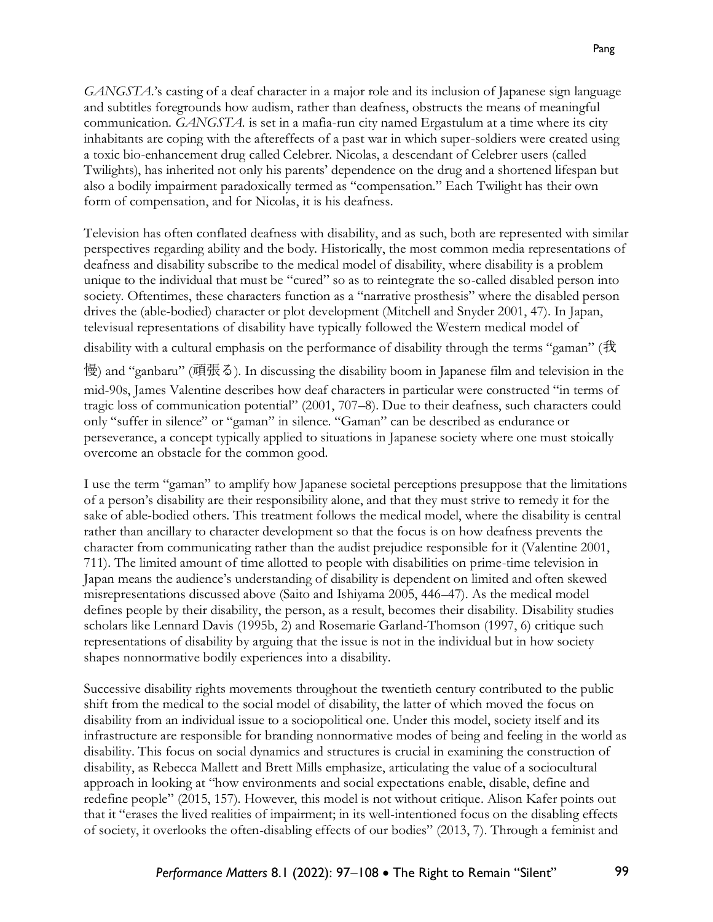*GANGSTA*.'s casting of a deaf character in a major role and its inclusion of Japanese sign language and subtitles foregrounds how audism, rather than deafness, obstructs the means of meaningful communication. *GANGSTA.* is set in a mafia-run city named Ergastulum at a time where its city inhabitants are coping with the aftereffects of a past war in which super-soldiers were created using a toxic bio-enhancement drug called Celebrer. Nicolas, a descendant of Celebrer users (called Twilights), has inherited not only his parents' dependence on the drug and a shortened lifespan but also a bodily impairment paradoxically termed as "compensation." Each Twilight has their own form of compensation, and for Nicolas, it is his deafness.

Television has often conflated deafness with disability, and as such, both are represented with similar perspectives regarding ability and the body. Historically, the most common media representations of deafness and disability subscribe to the medical model of disability, where disability is a problem unique to the individual that must be "cured" so as to reintegrate the so-called disabled person into society. Oftentimes, these characters function as a "narrative prosthesis" where the disabled person drives the (able-bodied) character or plot development (Mitchell and Snyder 2001, 47). In Japan, televisual representations of disability have typically followed the Western medical model of

disability with a cultural emphasis on the performance of disability through the terms "gaman" (我

慢) and "ganbaru" (頑張る). In discussing the disability boom in Japanese film and television in the mid-90s, James Valentine describes how deaf characters in particular were constructed "in terms of tragic loss of communication potential" (2001, 707–8). Due to their deafness, such characters could only "suffer in silence" or "gaman" in silence. "Gaman" can be described as endurance or perseverance, a concept typically applied to situations in Japanese society where one must stoically overcome an obstacle for the common good.

I use the term "gaman" to amplify how Japanese societal perceptions presuppose that the limitations of a person's disability are their responsibility alone, and that they must strive to remedy it for the sake of able-bodied others. This treatment follows the medical model, where the disability is central rather than ancillary to character development so that the focus is on how deafness prevents the character from communicating rather than the audist prejudice responsible for it (Valentine 2001, 711). The limited amount of time allotted to people with disabilities on prime-time television in Japan means the audience's understanding of disability is dependent on limited and often skewed misrepresentations discussed above (Saito and Ishiyama 2005, 446–47). As the medical model defines people by their disability, the person, as a result, becomes their disability. Disability studies scholars like Lennard Davis (1995b, 2) and Rosemarie Garland-Thomson (1997, 6) critique such representations of disability by arguing that the issue is not in the individual but in how society shapes nonnormative bodily experiences into a disability.

Successive disability rights movements throughout the twentieth century contributed to the public shift from the medical to the social model of disability, the latter of which moved the focus on disability from an individual issue to a sociopolitical one. Under this model, society itself and its infrastructure are responsible for branding nonnormative modes of being and feeling in the world as disability. This focus on social dynamics and structures is crucial in examining the construction of disability, as Rebecca Mallett and Brett Mills emphasize, articulating the value of a sociocultural approach in looking at "how environments and social expectations enable, disable, define and redefine people" (2015, 157). However, this model is not without critique. Alison Kafer points out that it "erases the lived realities of impairment; in its well-intentioned focus on the disabling effects of society, it overlooks the often-disabling effects of our bodies" (2013, 7). Through a feminist and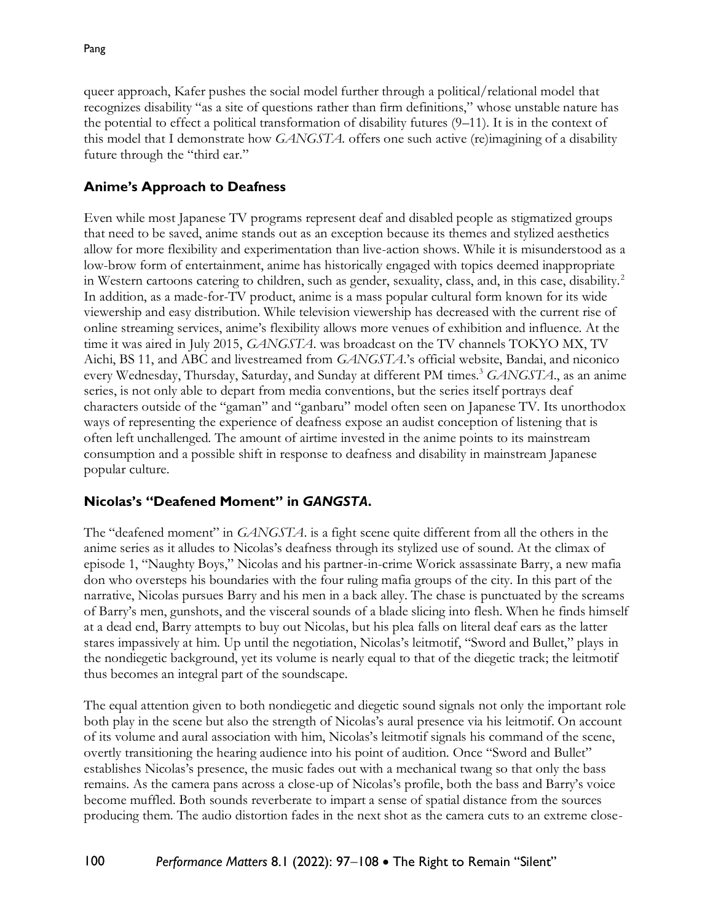queer approach, Kafer pushes the social model further through a political/relational model that recognizes disability "as a site of questions rather than firm definitions," whose unstable nature has the potential to effect a political transformation of disability futures (9–11). It is in the context of this model that I demonstrate how *GANGSTA.* offers one such active (re)imagining of a disability future through the "third ear."

# **Anime's Approach to Deafness**

Even while most Japanese TV programs represent deaf and disabled people as stigmatized groups that need to be saved, anime stands out as an exception because its themes and stylized aesthetics allow for more flexibility and experimentation than live-action shows. While it is misunderstood as a low-brow form of entertainment, anime has historically engaged with topics deemed inappropriate in Western cartoons catering to children, such as gender, sexuality, class, and, in this case, disability.<sup>2</sup> In addition, as a made-for-TV product, anime is a mass popular cultural form known for its wide viewership and easy distribution. While television viewership has decreased with the current rise of online streaming services, anime's flexibility allows more venues of exhibition and influence. At the time it was aired in July 2015, *GANGSTA*. was broadcast on the TV channels TOKYO MX, TV Aichi, BS 11, and ABC and livestreamed from *GANGSTA*.'s official website, Bandai, and niconico every Wednesday, Thursday, Saturday, and Sunday at different PM times.<sup>3</sup> *GANGSTA*., as an anime series, is not only able to depart from media conventions, but the series itself portrays deaf characters outside of the "gaman" and "ganbaru" model often seen on Japanese TV. Its unorthodox ways of representing the experience of deafness expose an audist conception of listening that is often left unchallenged. The amount of airtime invested in the anime points to its mainstream consumption and a possible shift in response to deafness and disability in mainstream Japanese popular culture.

## **Nicolas's "Deafened Moment" in** *GANGSTA***.**

The "deafened moment" in *GANGSTA*. is a fight scene quite different from all the others in the anime series as it alludes to Nicolas's deafness through its stylized use of sound. At the climax of episode 1, "Naughty Boys," Nicolas and his partner-in-crime Worick assassinate Barry, a new mafia don who oversteps his boundaries with the four ruling mafia groups of the city. In this part of the narrative, Nicolas pursues Barry and his men in a back alley. The chase is punctuated by the screams of Barry's men, gunshots, and the visceral sounds of a blade slicing into flesh. When he finds himself at a dead end, Barry attempts to buy out Nicolas, but his plea falls on literal deaf ears as the latter stares impassively at him. Up until the negotiation, Nicolas's leitmotif, "Sword and Bullet," plays in the nondiegetic background, yet its volume is nearly equal to that of the diegetic track; the leitmotif thus becomes an integral part of the soundscape.

The equal attention given to both nondiegetic and diegetic sound signals not only the important role both play in the scene but also the strength of Nicolas's aural presence via his leitmotif. On account of its volume and aural association with him, Nicolas's leitmotif signals his command of the scene, overtly transitioning the hearing audience into his point of audition. Once "Sword and Bullet" establishes Nicolas's presence, the music fades out with a mechanical twang so that only the bass remains. As the camera pans across a close-up of Nicolas's profile, both the bass and Barry's voice become muffled. Both sounds reverberate to impart a sense of spatial distance from the sources producing them. The audio distortion fades in the next shot as the camera cuts to an extreme close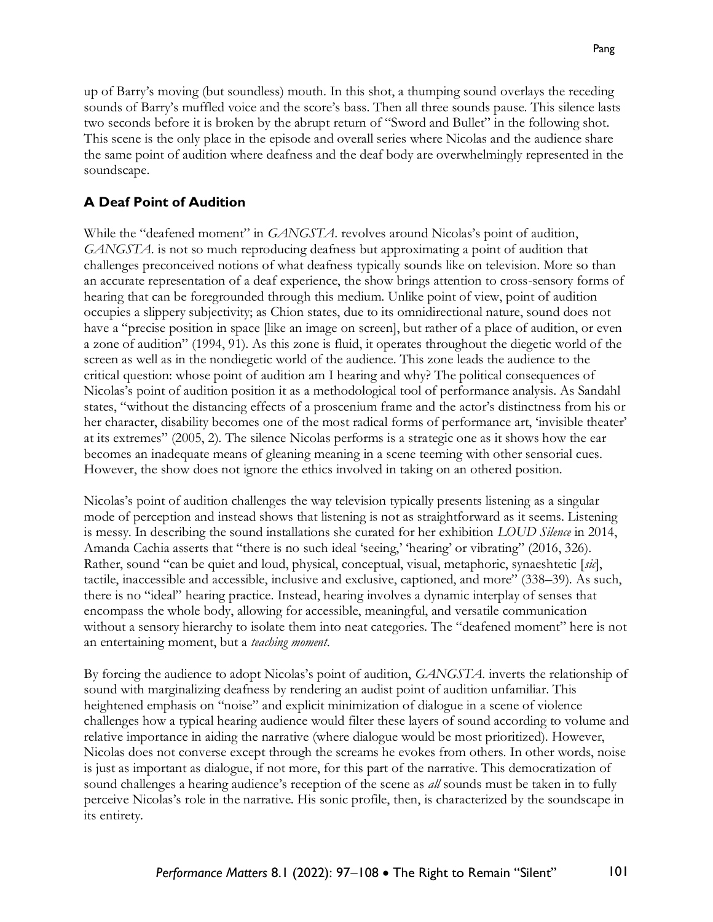up of Barry's moving (but soundless) mouth. In this shot, a thumping sound overlays the receding sounds of Barry's muffled voice and the score's bass. Then all three sounds pause. This silence lasts two seconds before it is broken by the abrupt return of "Sword and Bullet" in the following shot. This scene is the only place in the episode and overall series where Nicolas and the audience share the same point of audition where deafness and the deaf body are overwhelmingly represented in the soundscape.

#### **A Deaf Point of Audition**

While the "deafened moment" in *GANGSTA*. revolves around Nicolas's point of audition, *GANGSTA*. is not so much reproducing deafness but approximating a point of audition that challenges preconceived notions of what deafness typically sounds like on television. More so than an accurate representation of a deaf experience, the show brings attention to cross-sensory forms of hearing that can be foregrounded through this medium. Unlike point of view, point of audition occupies a slippery subjectivity; as Chion states, due to its omnidirectional nature, sound does not have a "precise position in space [like an image on screen], but rather of a place of audition, or even a zone of audition" (1994, 91). As this zone is fluid, it operates throughout the diegetic world of the screen as well as in the nondiegetic world of the audience. This zone leads the audience to the critical question: whose point of audition am I hearing and why? The political consequences of Nicolas's point of audition position it as a methodological tool of performance analysis. As Sandahl states, "without the distancing effects of a proscenium frame and the actor's distinctness from his or her character, disability becomes one of the most radical forms of performance art, 'invisible theater' at its extremes" (2005, 2). The silence Nicolas performs is a strategic one as it shows how the ear becomes an inadequate means of gleaning meaning in a scene teeming with other sensorial cues. However, the show does not ignore the ethics involved in taking on an othered position.

Nicolas's point of audition challenges the way television typically presents listening as a singular mode of perception and instead shows that listening is not as straightforward as it seems. Listening is messy. In describing the sound installations she curated for her exhibition *LOUD Silence* in 2014, Amanda Cachia asserts that "there is no such ideal 'seeing,' 'hearing' or vibrating" (2016, 326). Rather, sound "can be quiet and loud, physical, conceptual, visual, metaphoric, synaeshtetic [*sic*], tactile, inaccessible and accessible, inclusive and exclusive, captioned, and more" (338–39). As such, there is no "ideal" hearing practice. Instead, hearing involves a dynamic interplay of senses that encompass the whole body, allowing for accessible, meaningful, and versatile communication without a sensory hierarchy to isolate them into neat categories. The "deafened moment" here is not an entertaining moment, but a *teaching moment*.

By forcing the audience to adopt Nicolas's point of audition, *GANGSTA*. inverts the relationship of sound with marginalizing deafness by rendering an audist point of audition unfamiliar. This heightened emphasis on "noise" and explicit minimization of dialogue in a scene of violence challenges how a typical hearing audience would filter these layers of sound according to volume and relative importance in aiding the narrative (where dialogue would be most prioritized). However, Nicolas does not converse except through the screams he evokes from others. In other words, noise is just as important as dialogue, if not more, for this part of the narrative. This democratization of sound challenges a hearing audience's reception of the scene as *all* sounds must be taken in to fully perceive Nicolas's role in the narrative. His sonic profile, then, is characterized by the soundscape in its entirety.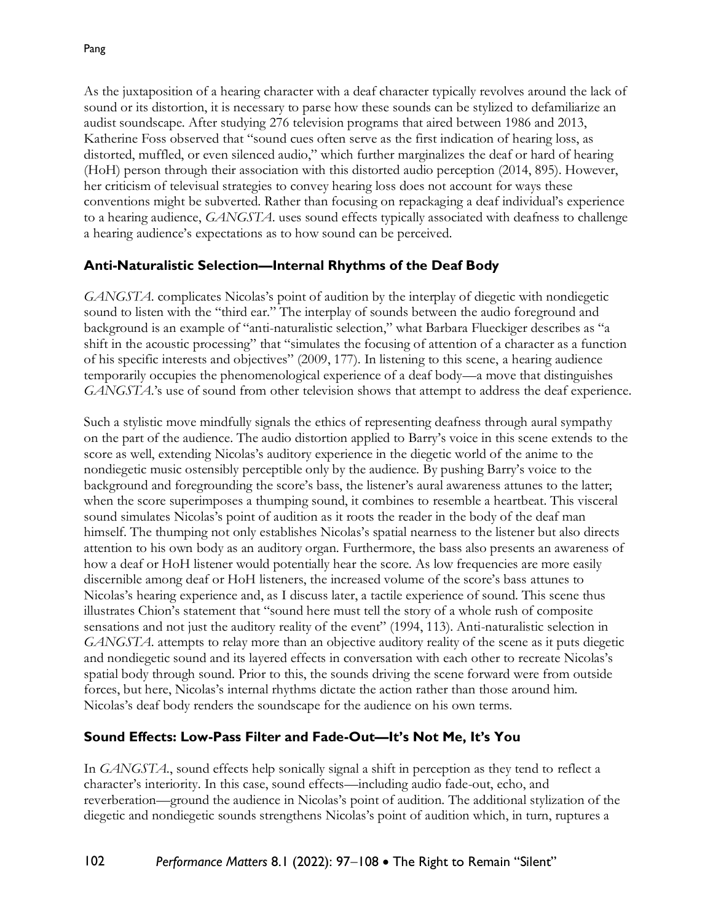As the juxtaposition of a hearing character with a deaf character typically revolves around the lack of sound or its distortion, it is necessary to parse how these sounds can be stylized to defamiliarize an audist soundscape. After studying 276 television programs that aired between 1986 and 2013, Katherine Foss observed that "sound cues often serve as the first indication of hearing loss, as distorted, muffled, or even silenced audio," which further marginalizes the deaf or hard of hearing (HoH) person through their association with this distorted audio perception (2014, 895). However, her criticism of televisual strategies to convey hearing loss does not account for ways these conventions might be subverted. Rather than focusing on repackaging a deaf individual's experience to a hearing audience, *GANGSTA*. uses sound effects typically associated with deafness to challenge a hearing audience's expectations as to how sound can be perceived.

## **Anti-Naturalistic Selection—Internal Rhythms of the Deaf Body**

*GANGSTA*. complicates Nicolas's point of audition by the interplay of diegetic with nondiegetic sound to listen with the "third ear." The interplay of sounds between the audio foreground and background is an example of "anti-naturalistic selection," what Barbara Flueckiger describes as "a shift in the acoustic processing" that "simulates the focusing of attention of a character as a function of his specific interests and objectives" (2009, 177). In listening to this scene, a hearing audience temporarily occupies the phenomenological experience of a deaf body—a move that distinguishes *GANGSTA*.'s use of sound from other television shows that attempt to address the deaf experience.

Such a stylistic move mindfully signals the ethics of representing deafness through aural sympathy on the part of the audience. The audio distortion applied to Barry's voice in this scene extends to the score as well, extending Nicolas's auditory experience in the diegetic world of the anime to the nondiegetic music ostensibly perceptible only by the audience. By pushing Barry's voice to the background and foregrounding the score's bass, the listener's aural awareness attunes to the latter; when the score superimposes a thumping sound, it combines to resemble a heartbeat. This visceral sound simulates Nicolas's point of audition as it roots the reader in the body of the deaf man himself. The thumping not only establishes Nicolas's spatial nearness to the listener but also directs attention to his own body as an auditory organ. Furthermore, the bass also presents an awareness of how a deaf or HoH listener would potentially hear the score. As low frequencies are more easily discernible among deaf or HoH listeners, the increased volume of the score's bass attunes to Nicolas's hearing experience and, as I discuss later, a tactile experience of sound. This scene thus illustrates Chion's statement that "sound here must tell the story of a whole rush of composite sensations and not just the auditory reality of the event" (1994, 113). Anti-naturalistic selection in *GANGSTA*. attempts to relay more than an objective auditory reality of the scene as it puts diegetic and nondiegetic sound and its layered effects in conversation with each other to recreate Nicolas's spatial body through sound. Prior to this, the sounds driving the scene forward were from outside forces, but here, Nicolas's internal rhythms dictate the action rather than those around him. Nicolas's deaf body renders the soundscape for the audience on his own terms.

## **Sound Effects: Low-Pass Filter and Fade-Out—It's Not Me, It's You**

In *GANGSTA*., sound effects help sonically signal a shift in perception as they tend to reflect a character's interiority. In this case, sound effects—including audio fade-out, echo, and reverberation—ground the audience in Nicolas's point of audition. The additional stylization of the diegetic and nondiegetic sounds strengthens Nicolas's point of audition which, in turn, ruptures a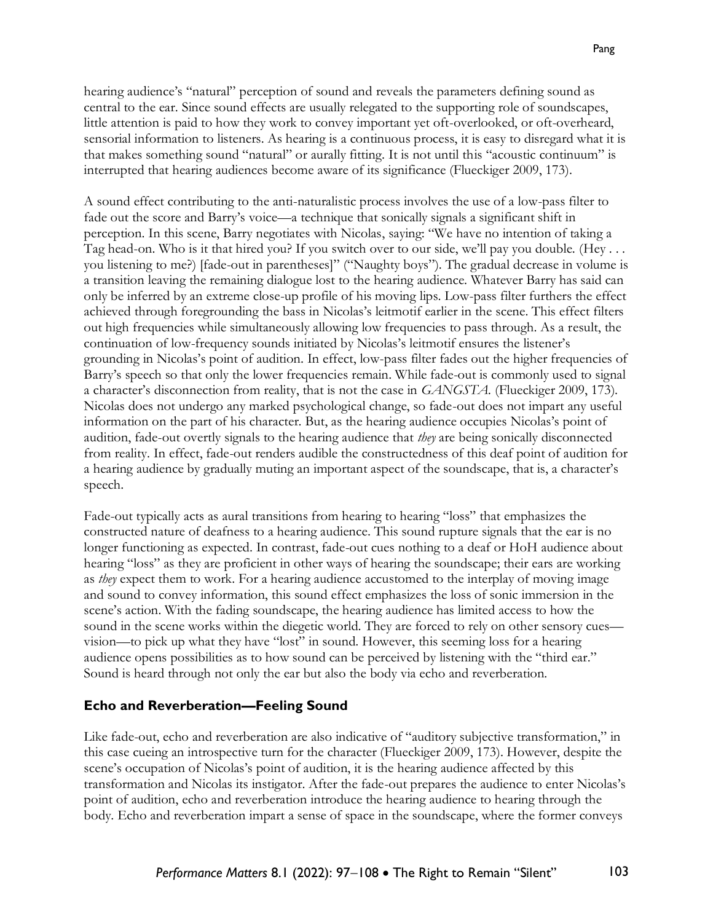A sound effect contributing to the anti-naturalistic process involves the use of a low-pass filter to fade out the score and Barry's voice—a technique that sonically signals a significant shift in perception. In this scene, Barry negotiates with Nicolas, saying: "We have no intention of taking a Tag head-on. Who is it that hired you? If you switch over to our side, we'll pay you double. (Hey . . . you listening to me?) [fade-out in parentheses]" ("Naughty boys"). The gradual decrease in volume is a transition leaving the remaining dialogue lost to the hearing audience. Whatever Barry has said can only be inferred by an extreme close-up profile of his moving lips. Low-pass filter furthers the effect achieved through foregrounding the bass in Nicolas's leitmotif earlier in the scene. This effect filters out high frequencies while simultaneously allowing low frequencies to pass through. As a result, the continuation of low-frequency sounds initiated by Nicolas's leitmotif ensures the listener's grounding in Nicolas's point of audition. In effect, low-pass filter fades out the higher frequencies of Barry's speech so that only the lower frequencies remain. While fade-out is commonly used to signal a character's disconnection from reality, that is not the case in *GANGSTA.* (Flueckiger 2009, 173). Nicolas does not undergo any marked psychological change, so fade-out does not impart any useful information on the part of his character. But, as the hearing audience occupies Nicolas's point of audition, fade-out overtly signals to the hearing audience that *they* are being sonically disconnected from reality. In effect, fade-out renders audible the constructedness of this deaf point of audition for a hearing audience by gradually muting an important aspect of the soundscape, that is, a character's speech.

Fade-out typically acts as aural transitions from hearing to hearing "loss" that emphasizes the constructed nature of deafness to a hearing audience. This sound rupture signals that the ear is no longer functioning as expected. In contrast, fade-out cues nothing to a deaf or HoH audience about hearing "loss" as they are proficient in other ways of hearing the soundscape; their ears are working as *they* expect them to work. For a hearing audience accustomed to the interplay of moving image and sound to convey information, this sound effect emphasizes the loss of sonic immersion in the scene's action. With the fading soundscape, the hearing audience has limited access to how the sound in the scene works within the diegetic world. They are forced to rely on other sensory cues vision—to pick up what they have "lost" in sound. However, this seeming loss for a hearing audience opens possibilities as to how sound can be perceived by listening with the "third ear." Sound is heard through not only the ear but also the body via echo and reverberation.

## **Echo and Reverberation—Feeling Sound**

Like fade-out, echo and reverberation are also indicative of "auditory subjective transformation," in this case cueing an introspective turn for the character (Flueckiger 2009, 173). However, despite the scene's occupation of Nicolas's point of audition, it is the hearing audience affected by this transformation and Nicolas its instigator. After the fade-out prepares the audience to enter Nicolas's point of audition, echo and reverberation introduce the hearing audience to hearing through the body. Echo and reverberation impart a sense of space in the soundscape, where the former conveys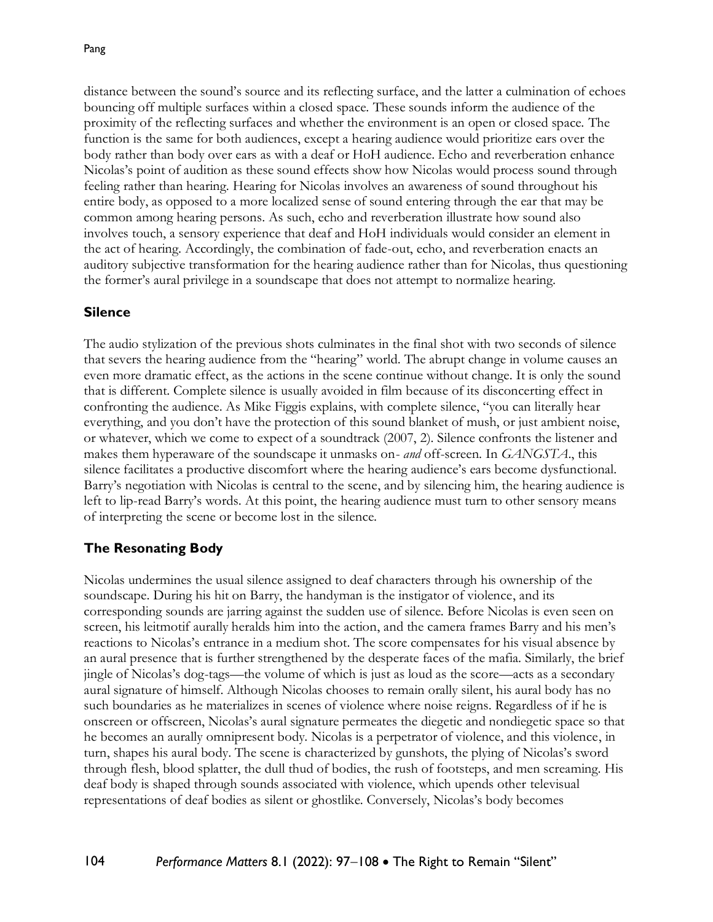distance between the sound's source and its reflecting surface, and the latter a culmination of echoes bouncing off multiple surfaces within a closed space. These sounds inform the audience of the proximity of the reflecting surfaces and whether the environment is an open or closed space. The function is the same for both audiences, except a hearing audience would prioritize ears over the body rather than body over ears as with a deaf or HoH audience. Echo and reverberation enhance Nicolas's point of audition as these sound effects show how Nicolas would process sound through feeling rather than hearing. Hearing for Nicolas involves an awareness of sound throughout his entire body, as opposed to a more localized sense of sound entering through the ear that may be common among hearing persons. As such, echo and reverberation illustrate how sound also involves touch, a sensory experience that deaf and HoH individuals would consider an element in the act of hearing. Accordingly, the combination of fade-out, echo, and reverberation enacts an auditory subjective transformation for the hearing audience rather than for Nicolas, thus questioning the former's aural privilege in a soundscape that does not attempt to normalize hearing.

#### **Silence**

The audio stylization of the previous shots culminates in the final shot with two seconds of silence that severs the hearing audience from the "hearing" world. The abrupt change in volume causes an even more dramatic effect, as the actions in the scene continue without change. It is only the sound that is different. Complete silence is usually avoided in film because of its disconcerting effect in confronting the audience. As Mike Figgis explains, with complete silence, "you can literally hear everything, and you don't have the protection of this sound blanket of mush, or just ambient noise, or whatever, which we come to expect of a soundtrack (2007, 2). Silence confronts the listener and makes them hyperaware of the soundscape it unmasks on- *and* off-screen. In *GANGSTA*., this silence facilitates a productive discomfort where the hearing audience's ears become dysfunctional. Barry's negotiation with Nicolas is central to the scene, and by silencing him, the hearing audience is left to lip-read Barry's words. At this point, the hearing audience must turn to other sensory means of interpreting the scene or become lost in the silence.

## **The Resonating Body**

Nicolas undermines the usual silence assigned to deaf characters through his ownership of the soundscape. During his hit on Barry, the handyman is the instigator of violence, and its corresponding sounds are jarring against the sudden use of silence. Before Nicolas is even seen on screen, his leitmotif aurally heralds him into the action, and the camera frames Barry and his men's reactions to Nicolas's entrance in a medium shot. The score compensates for his visual absence by an aural presence that is further strengthened by the desperate faces of the mafia. Similarly, the brief jingle of Nicolas's dog-tags—the volume of which is just as loud as the score—acts as a secondary aural signature of himself. Although Nicolas chooses to remain orally silent, his aural body has no such boundaries as he materializes in scenes of violence where noise reigns. Regardless of if he is onscreen or offscreen, Nicolas's aural signature permeates the diegetic and nondiegetic space so that he becomes an aurally omnipresent body. Nicolas is a perpetrator of violence, and this violence, in turn, shapes his aural body. The scene is characterized by gunshots, the plying of Nicolas's sword through flesh, blood splatter, the dull thud of bodies, the rush of footsteps, and men screaming. His deaf body is shaped through sounds associated with violence, which upends other televisual representations of deaf bodies as silent or ghostlike. Conversely, Nicolas's body becomes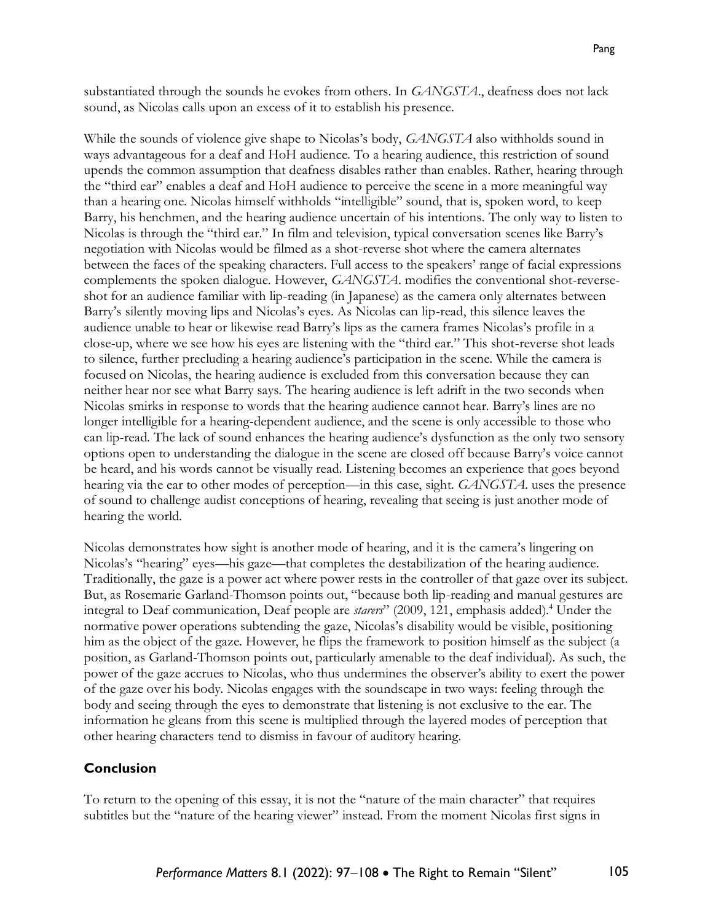substantiated through the sounds he evokes from others. In *GANGSTA*., deafness does not lack sound, as Nicolas calls upon an excess of it to establish his presence.

While the sounds of violence give shape to Nicolas's body, *GANGSTA* also withholds sound in ways advantageous for a deaf and HoH audience. To a hearing audience, this restriction of sound upends the common assumption that deafness disables rather than enables. Rather, hearing through the "third ear" enables a deaf and HoH audience to perceive the scene in a more meaningful way than a hearing one. Nicolas himself withholds "intelligible" sound, that is, spoken word, to keep Barry, his henchmen, and the hearing audience uncertain of his intentions. The only way to listen to Nicolas is through the "third ear." In film and television, typical conversation scenes like Barry's negotiation with Nicolas would be filmed as a shot-reverse shot where the camera alternates between the faces of the speaking characters. Full access to the speakers' range of facial expressions complements the spoken dialogue. However, *GANGSTA*. modifies the conventional shot-reverseshot for an audience familiar with lip-reading (in Japanese) as the camera only alternates between Barry's silently moving lips and Nicolas's eyes. As Nicolas can lip-read, this silence leaves the audience unable to hear or likewise read Barry's lips as the camera frames Nicolas's profile in a close-up, where we see how his eyes are listening with the "third ear." This shot-reverse shot leads to silence, further precluding a hearing audience's participation in the scene. While the camera is focused on Nicolas, the hearing audience is excluded from this conversation because they can neither hear nor see what Barry says. The hearing audience is left adrift in the two seconds when Nicolas smirks in response to words that the hearing audience cannot hear. Barry's lines are no longer intelligible for a hearing-dependent audience, and the scene is only accessible to those who can lip-read. The lack of sound enhances the hearing audience's dysfunction as the only two sensory options open to understanding the dialogue in the scene are closed off because Barry's voice cannot be heard, and his words cannot be visually read. Listening becomes an experience that goes beyond hearing via the ear to other modes of perception—in this case, sight. *GANGSTA*. uses the presence of sound to challenge audist conceptions of hearing, revealing that seeing is just another mode of hearing the world.

Nicolas demonstrates how sight is another mode of hearing, and it is the camera's lingering on Nicolas's "hearing" eyes—his gaze—that completes the destabilization of the hearing audience. Traditionally, the gaze is a power act where power rests in the controller of that gaze over its subject. But, as Rosemarie Garland-Thomson points out, "because both lip-reading and manual gestures are integral to Deaf communication, Deaf people are *starers*" (2009, 121, emphasis added).<sup>4</sup> Under the normative power operations subtending the gaze, Nicolas's disability would be visible, positioning him as the object of the gaze. However, he flips the framework to position himself as the subject (a position, as Garland-Thomson points out, particularly amenable to the deaf individual). As such, the power of the gaze accrues to Nicolas, who thus undermines the observer's ability to exert the power of the gaze over his body. Nicolas engages with the soundscape in two ways: feeling through the body and seeing through the eyes to demonstrate that listening is not exclusive to the ear. The information he gleans from this scene is multiplied through the layered modes of perception that other hearing characters tend to dismiss in favour of auditory hearing.

#### **Conclusion**

To return to the opening of this essay, it is not the "nature of the main character" that requires subtitles but the "nature of the hearing viewer" instead. From the moment Nicolas first signs in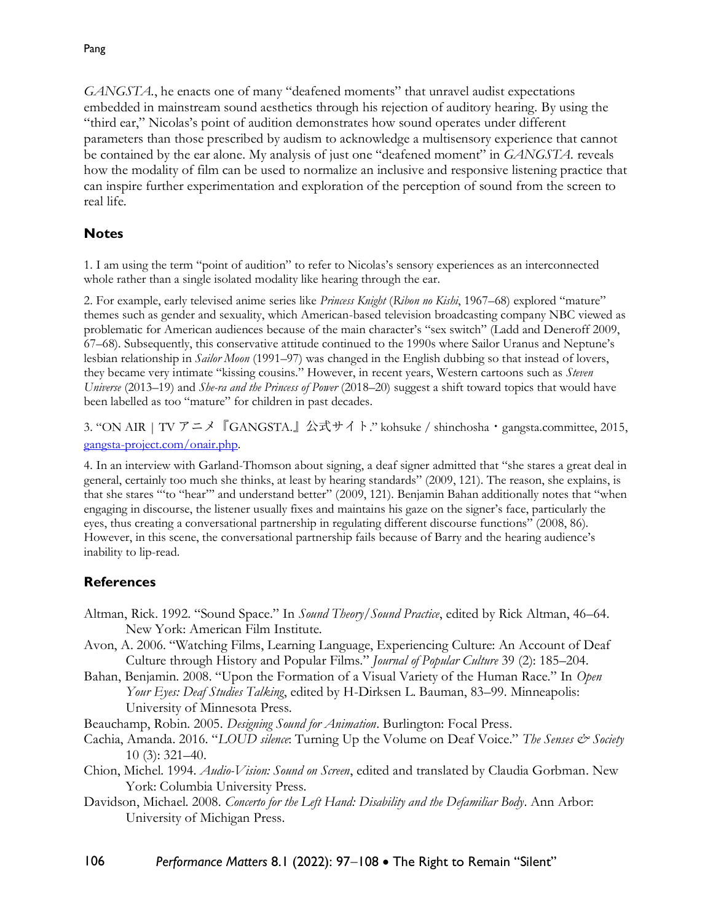*GANGSTA.*, he enacts one of many "deafened moments" that unravel audist expectations embedded in mainstream sound aesthetics through his rejection of auditory hearing. By using the "third ear," Nicolas's point of audition demonstrates how sound operates under different parameters than those prescribed by audism to acknowledge a multisensory experience that cannot be contained by the ear alone. My analysis of just one "deafened moment" in *GANGSTA.* reveals how the modality of film can be used to normalize an inclusive and responsive listening practice that can inspire further experimentation and exploration of the perception of sound from the screen to real life.

## **Notes**

1. I am using the term "point of audition" to refer to Nicolas's sensory experiences as an interconnected whole rather than a single isolated modality like hearing through the ear.

2. For example, early televised anime series like *Princess Knight* (*Ribon no Kishi*, 1967–68) explored "mature" themes such as gender and sexuality, which American-based television broadcasting company NBC viewed as problematic for American audiences because of the main character's "sex switch" (Ladd and Deneroff 2009, 67–68). Subsequently, this conservative attitude continued to the 1990s where Sailor Uranus and Neptune's lesbian relationship in *Sailor Moon* (1991–97) was changed in the English dubbing so that instead of lovers, they became very intimate "kissing cousins." However, in recent years, Western cartoons such as *Steven Universe* (2013–19) and *She-ra and the Princess of Power* (2018–20) suggest a shift toward topics that would have been labelled as too "mature" for children in past decades.

3. "ON AIR | TV アニメ『GANGSTA.』公式サイト." kohsuke / shinchosha・gangsta.committee, 2015, [gangsta-project.com/onair.php.](http://gangsta-project.com/onair.php)

4. In an interview with Garland-Thomson about signing, a deaf signer admitted that "she stares a great deal in general, certainly too much she thinks, at least by hearing standards" (2009, 121). The reason, she explains, is that she stares "'to "hear"' and understand better" (2009, 121). Benjamin Bahan additionally notes that "when engaging in discourse, the listener usually fixes and maintains his gaze on the signer's face, particularly the eyes, thus creating a conversational partnership in regulating different discourse functions" (2008, 86). However, in this scene, the conversational partnership fails because of Barry and the hearing audience's inability to lip-read.

## **References**

- Altman, Rick. 1992. "Sound Space." In *Sound Theory/Sound Practice*, edited by Rick Altman, 46–64. New York: American Film Institute.
- Avon, A. 2006. "Watching Films, Learning Language, Experiencing Culture: An Account of Deaf Culture through History and Popular Films." *Journal of Popular Culture* 39 (2): 185–204.
- Bahan, Benjamin. 2008. "Upon the Formation of a Visual Variety of the Human Race." In *Open Your Eyes: Deaf Studies Talking*, edited by H-Dirksen L. Bauman, 83–99. Minneapolis: University of Minnesota Press.
- Beauchamp, Robin. 2005. *Designing Sound for Animation*. Burlington: Focal Press.
- Cachia, Amanda. 2016. "*LOUD silence*: Turning Up the Volume on Deaf Voice." *The Senses & Society* 10 (3): 321–40.
- Chion, Michel. 1994. *Audio-Vision: Sound on Screen*, edited and translated by Claudia Gorbman. New York: Columbia University Press.
- Davidson, Michael. 2008. *Concerto for the Left Hand: Disability and the Defamiliar Body*. Ann Arbor: University of Michigan Press.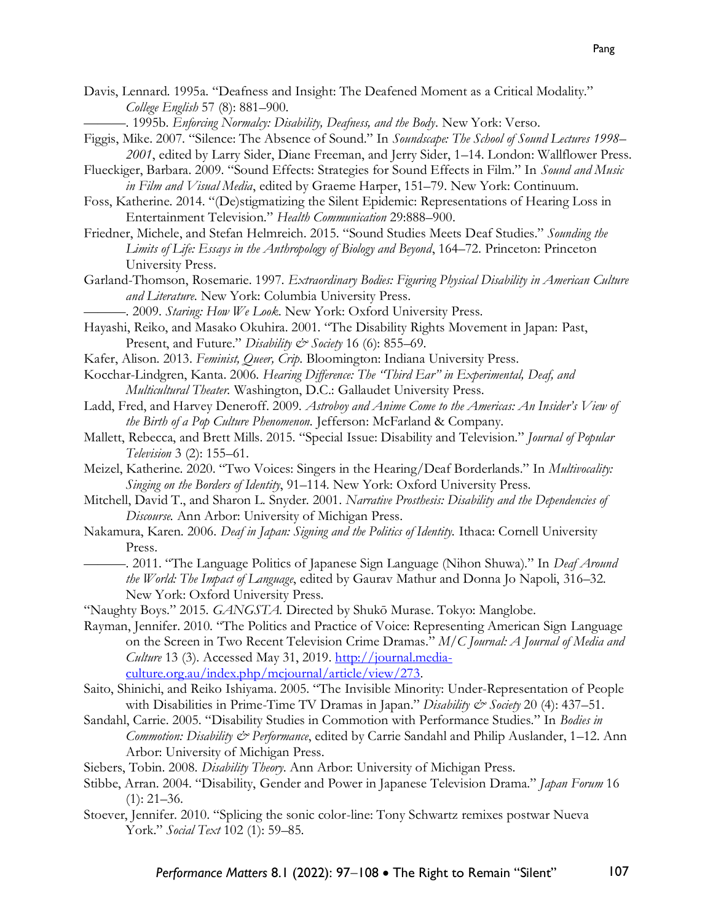Davis, Lennard. 1995a. "Deafness and Insight: The Deafened Moment as a Critical Modality." *College English* 57 (8): 881–900.

-. 1995b. *Enforcing Normalcy: Disability, Deafness, and the Body*. New York: Verso.

- Figgis, Mike. 2007. "Silence: The Absence of Sound." In *Soundscape: The School of Sound Lectures 1998– 2001*, edited by Larry Sider, Diane Freeman, and Jerry Sider, 1–14. London: Wallflower Press.
- Flueckiger, Barbara. 2009. "Sound Effects: Strategies for Sound Effects in Film." In *Sound and Music in Film and Visual Media*, edited by Graeme Harper, 151–79. New York: Continuum.
- Foss, Katherine. 2014. "(De)stigmatizing the Silent Epidemic: Representations of Hearing Loss in Entertainment Television." *Health Communication* 29:888–900.
- Friedner, Michele, and Stefan Helmreich. 2015. "Sound Studies Meets Deaf Studies." *Sounding the Limits of Life: Essays in the Anthropology of Biology and Beyond*, 164–72. Princeton: Princeton University Press.
- Garland-Thomson, Rosemarie. 1997. *Extraordinary Bodies: Figuring Physical Disability in American Culture and Literature*. New York: Columbia University Press.
	- ———. 2009. *Staring: How We Look*. New York: Oxford University Press.
- Hayashi, Reiko, and Masako Okuhira. 2001. "The Disability Rights Movement in Japan: Past, Present, and Future." *Disability & Society* 16 (6): 855–69.
- Kafer, Alison. 2013. *Feminist, Queer, Crip*. Bloomington: Indiana University Press.
- Kocchar-Lindgren, Kanta. 2006. *Hearing Difference: The "Third Ear" in Experimental, Deaf, and Multicultural Theater.* Washington, D.C.: Gallaudet University Press.
- Ladd, Fred, and Harvey Deneroff. 2009. *Astroboy and Anime Come to the Americas: An Insider's View of the Birth of a Pop Culture Phenomenon.* Jefferson: McFarland & Company.
- Mallett, Rebecca, and Brett Mills. 2015. "Special Issue: Disability and Television." *Journal of Popular Television* 3 (2): 155–61.
- Meizel, Katherine. 2020. "Two Voices: Singers in the Hearing/Deaf Borderlands." In *Multivocality: Singing on the Borders of Identity*, 91–114. New York: Oxford University Press.
- Mitchell, David T., and Sharon L. Snyder. 2001. *Narrative Prosthesis: Disability and the Dependencies of Discourse.* Ann Arbor: University of Michigan Press.
- Nakamura, Karen. 2006. *Deaf in Japan: Signing and the Politics of Identity.* Ithaca: Cornell University Press.
	- ———. 2011. "The Language Politics of Japanese Sign Language (Nihon Shuwa)." In *Deaf Around the World: The Impact of Language*, edited by Gaurav Mathur and Donna Jo Napoli, 316–32. New York: Oxford University Press.
- "Naughty Boys." 2015. *GANGSTA.* Directed by Shukō Murase. Tokyo: Manglobe.
- Rayman, Jennifer. 2010. "The Politics and Practice of Voice: Representing American Sign Language on the Screen in Two Recent Television Crime Dramas*.*" *M/C Journal: A Journal of Media and Culture* 13 (3). Accessed May 31, 2019. [http://journal.media](http://journal.media-culture.org.au/index.php/mcjournal/article/view/273)[culture.org.au/index.php/mcjournal/article/view/273.](http://journal.media-culture.org.au/index.php/mcjournal/article/view/273)
- Saito, Shinichi, and Reiko Ishiyama. 2005. "The Invisible Minority: Under-Representation of People with Disabilities in Prime-Time TV Dramas in Japan." *Disability & Society* 20 (4): 437–51.
- Sandahl, Carrie. 2005. "Disability Studies in Commotion with Performance Studies." In *Bodies in Commotion: Disability & Performance*, edited by Carrie Sandahl and Philip Auslander, 1–12. Ann Arbor: University of Michigan Press.
- Siebers, Tobin. 2008. *Disability Theory*. Ann Arbor: University of Michigan Press.
- Stibbe, Arran. 2004. "Disability, Gender and Power in Japanese Television Drama." *Japan Forum* 16  $(1): 21-36.$
- Stoever, Jennifer. 2010. "Splicing the sonic color-line: Tony Schwartz remixes postwar Nueva York." *Social Text* 102 (1): 59–85.